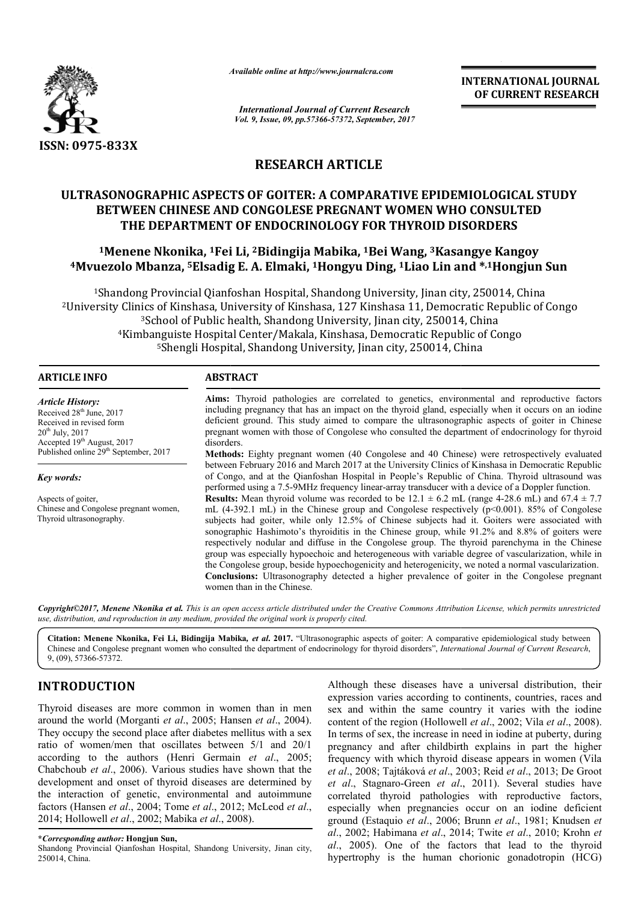

*Available online at http://www.journal http://www.journalcra.com*

# **RESEARCH ARTICLE**

# **ULTRASONOGRAPHIC ASPECTS OF GOITER: A COMPARATIVE EPIDEMIOLOGICAL STUDY OF GOITER: BETWEEN CHINESE AND CONGOLESE PREGNANT WOMEN WHO CONSULTED THE DEPARTMENT OF ENDOCRINOLOGY FOR THYROID DISORDERS**

# **1Menene Nkonika, 1Fei Li, Fei 2Bidingija Mabika, 1Bei Wang, 3Kasangye Kangoy** BETWEEN CHINESE AND CONGOLESE PREGNANT WOMEN WHO CONSULTED<br>THE DEPARTMENT OF ENDOCRINOLOGY FOR THYROID DISORDERS<br><sup>1</sup>Menene Nkonika, <sup>1</sup>Fei Li, <sup>2</sup>Bidingija Mabika, <sup>1</sup>Bei Wang, <sup>3</sup>Kasangye Kangoy<br><sup>4</sup>Mvuezolo Mbanza, <sup>5</sup>Els

|                                                                                                                                                                                                                                                                                                                                                                                                                                                                                                                                                                                                                                                                                                                                                                                  | -глинион онине игнир.// www.journun.nu.com                                                                                                                                                                                                                                                                                                                                                                                                                                                                                                                                                                                                                                                                                                                                                                                                                                                                                                                                                                                                                                                                                                                                                                                                                                                                                                                                                                                                                                                                                                                                                                                                                                                                                                                                                                                                                                          |                                                                                                        | <b>INTERNATIONAL JOURNAL</b><br>OF CURRENT RESEARCH                                                                                                                                                                                                                                                                                                                                                                                                                                                                                                                                                                                                                                                                                                                                                                                                                                                                      |  |  |
|----------------------------------------------------------------------------------------------------------------------------------------------------------------------------------------------------------------------------------------------------------------------------------------------------------------------------------------------------------------------------------------------------------------------------------------------------------------------------------------------------------------------------------------------------------------------------------------------------------------------------------------------------------------------------------------------------------------------------------------------------------------------------------|-------------------------------------------------------------------------------------------------------------------------------------------------------------------------------------------------------------------------------------------------------------------------------------------------------------------------------------------------------------------------------------------------------------------------------------------------------------------------------------------------------------------------------------------------------------------------------------------------------------------------------------------------------------------------------------------------------------------------------------------------------------------------------------------------------------------------------------------------------------------------------------------------------------------------------------------------------------------------------------------------------------------------------------------------------------------------------------------------------------------------------------------------------------------------------------------------------------------------------------------------------------------------------------------------------------------------------------------------------------------------------------------------------------------------------------------------------------------------------------------------------------------------------------------------------------------------------------------------------------------------------------------------------------------------------------------------------------------------------------------------------------------------------------------------------------------------------------------------------------------------------------|--------------------------------------------------------------------------------------------------------|--------------------------------------------------------------------------------------------------------------------------------------------------------------------------------------------------------------------------------------------------------------------------------------------------------------------------------------------------------------------------------------------------------------------------------------------------------------------------------------------------------------------------------------------------------------------------------------------------------------------------------------------------------------------------------------------------------------------------------------------------------------------------------------------------------------------------------------------------------------------------------------------------------------------------|--|--|
|                                                                                                                                                                                                                                                                                                                                                                                                                                                                                                                                                                                                                                                                                                                                                                                  |                                                                                                                                                                                                                                                                                                                                                                                                                                                                                                                                                                                                                                                                                                                                                                                                                                                                                                                                                                                                                                                                                                                                                                                                                                                                                                                                                                                                                                                                                                                                                                                                                                                                                                                                                                                                                                                                                     | <b>International Journal of Current Research</b><br>Vol. 9, Issue, 09, pp.57366-57372, September, 2017 |                                                                                                                                                                                                                                                                                                                                                                                                                                                                                                                                                                                                                                                                                                                                                                                                                                                                                                                          |  |  |
| ISSN: 0975-833X                                                                                                                                                                                                                                                                                                                                                                                                                                                                                                                                                                                                                                                                                                                                                                  |                                                                                                                                                                                                                                                                                                                                                                                                                                                                                                                                                                                                                                                                                                                                                                                                                                                                                                                                                                                                                                                                                                                                                                                                                                                                                                                                                                                                                                                                                                                                                                                                                                                                                                                                                                                                                                                                                     |                                                                                                        |                                                                                                                                                                                                                                                                                                                                                                                                                                                                                                                                                                                                                                                                                                                                                                                                                                                                                                                          |  |  |
|                                                                                                                                                                                                                                                                                                                                                                                                                                                                                                                                                                                                                                                                                                                                                                                  | <b>RESEARCH ARTICLE</b>                                                                                                                                                                                                                                                                                                                                                                                                                                                                                                                                                                                                                                                                                                                                                                                                                                                                                                                                                                                                                                                                                                                                                                                                                                                                                                                                                                                                                                                                                                                                                                                                                                                                                                                                                                                                                                                             |                                                                                                        |                                                                                                                                                                                                                                                                                                                                                                                                                                                                                                                                                                                                                                                                                                                                                                                                                                                                                                                          |  |  |
|                                                                                                                                                                                                                                                                                                                                                                                                                                                                                                                                                                                                                                                                                                                                                                                  | BETWEEN CHINESE AND CONGOLESE PREGNANT WOMEN WHO CONSULTED<br>THE DEPARTMENT OF ENDOCRINOLOGY FOR THYROID DISORDERS                                                                                                                                                                                                                                                                                                                                                                                                                                                                                                                                                                                                                                                                                                                                                                                                                                                                                                                                                                                                                                                                                                                                                                                                                                                                                                                                                                                                                                                                                                                                                                                                                                                                                                                                                                 |                                                                                                        | ULTRASONOGRAPHIC ASPECTS OF GOITER: A COMPARATIVE EPIDEMIOLOGICAL STUDY                                                                                                                                                                                                                                                                                                                                                                                                                                                                                                                                                                                                                                                                                                                                                                                                                                                  |  |  |
|                                                                                                                                                                                                                                                                                                                                                                                                                                                                                                                                                                                                                                                                                                                                                                                  | <sup>1</sup> Menene Nkonika, <sup>1</sup> Fei Li, <sup>2</sup> Bidingija Mabika, <sup>1</sup> Bei Wang, <sup>3</sup> Kasangye Kangoy                                                                                                                                                                                                                                                                                                                                                                                                                                                                                                                                                                                                                                                                                                                                                                                                                                                                                                                                                                                                                                                                                                                                                                                                                                                                                                                                                                                                                                                                                                                                                                                                                                                                                                                                                |                                                                                                        | <sup>4</sup> Mvuezolo Mbanza, <sup>5</sup> Elsadig E. A. Elmaki, <sup>1</sup> Hongyu Ding, <sup>1</sup> Liao Lin and *, <sup>1</sup> Hongjun Sun                                                                                                                                                                                                                                                                                                                                                                                                                                                                                                                                                                                                                                                                                                                                                                         |  |  |
|                                                                                                                                                                                                                                                                                                                                                                                                                                                                                                                                                                                                                                                                                                                                                                                  | <sup>1</sup> Shandong Provincial Qianfoshan Hospital, Shandong University, Jinan city, 250014, China<br><sup>3</sup> School of Public health, Shandong University, Jinan city, 250014, China<br><sup>4</sup> Kimbanguiste Hospital Center/Makala, Kinshasa, Democratic Republic of Congo<br><sup>5</sup> Shengli Hospital, Shandong University, Jinan city, 250014, China                                                                                                                                                                                                                                                                                                                                                                                                                                                                                                                                                                                                                                                                                                                                                                                                                                                                                                                                                                                                                                                                                                                                                                                                                                                                                                                                                                                                                                                                                                           |                                                                                                        | <sup>2</sup> University Clinics of Kinshasa, University of Kinshasa, 127 Kinshasa 11, Democratic Republic of Congo                                                                                                                                                                                                                                                                                                                                                                                                                                                                                                                                                                                                                                                                                                                                                                                                       |  |  |
| <b>ARTICLE INFO</b>                                                                                                                                                                                                                                                                                                                                                                                                                                                                                                                                                                                                                                                                                                                                                              | <b>ABSTRACT</b>                                                                                                                                                                                                                                                                                                                                                                                                                                                                                                                                                                                                                                                                                                                                                                                                                                                                                                                                                                                                                                                                                                                                                                                                                                                                                                                                                                                                                                                                                                                                                                                                                                                                                                                                                                                                                                                                     |                                                                                                        |                                                                                                                                                                                                                                                                                                                                                                                                                                                                                                                                                                                                                                                                                                                                                                                                                                                                                                                          |  |  |
| <b>Article History:</b><br>Received 28 <sup>th</sup> June, 2017<br>Received in revised form<br>20 <sup>th</sup> July, 2017<br>Accepted 19th August, 2017<br>Published online 29 <sup>th</sup> September, 2017<br>Key words:<br>Aspects of goiter,<br>Chinese and Congolese pregnant women,<br>Thyroid ultrasonography.                                                                                                                                                                                                                                                                                                                                                                                                                                                           | Aims: Thyroid pathologies are correlated to genetics, environmental and reproductive factors<br>including pregnancy that has an impact on the thyroid gland, especially when it occurs on an iodine<br>deficient ground. This study aimed to compare the ultrasonographic aspects of goiter in Chinese<br>pregnant women with those of Congolese who consulted the department of endocrinology for thyroid<br>disorders.<br>Methods: Eighty pregnant women (40 Congolese and 40 Chinese) were retrospectively evaluated<br>between February 2016 and March 2017 at the University Clinics of Kinshasa in Democratic Republic<br>of Congo, and at the Qianfoshan Hospital in People's Republic of China. Thyroid ultrasound was<br>performed using a 7.5-9MHz frequency linear-array transducer with a device of a Doppler function.<br><b>Results:</b> Mean thyroid volume was recorded to be $12.1 \pm 6.2$ mL (range 4-28.6 mL) and 67.4 $\pm$ 7.7<br>mL $(4-392.1 \text{ mL})$ in the Chinese group and Congolese respectively ( $p<0.001$ ). 85% of Congolese<br>subjects had goiter, while only 12.5% of Chinese subjects had it. Goiters were associated with<br>sonographic Hashimoto's thyroiditis in the Chinese group, while 91.2% and 8.8% of goiters were<br>respectively nodular and diffuse in the Congolese group. The thyroid parenchyma in the Chinese<br>group was especially hypoechoic and heterogeneous with variable degree of vascularization, while in<br>the Congolese group, beside hypoechogenicity and heterogenicity, we noted a normal vascularization.<br>Conclusions: Ultrasonography detected a higher prevalence of goiter in the Congolese pregnant<br>women than in the Chinese.<br>Copyright©2017, Menene Nkonika et al. This is an open access article distributed under the Creative Commons Attribution License, which permits unrestricted |                                                                                                        |                                                                                                                                                                                                                                                                                                                                                                                                                                                                                                                                                                                                                                                                                                                                                                                                                                                                                                                          |  |  |
| use, distribution, and reproduction in any medium, provided the original work is properly cited.<br>9, (09), 57366-57372.                                                                                                                                                                                                                                                                                                                                                                                                                                                                                                                                                                                                                                                        |                                                                                                                                                                                                                                                                                                                                                                                                                                                                                                                                                                                                                                                                                                                                                                                                                                                                                                                                                                                                                                                                                                                                                                                                                                                                                                                                                                                                                                                                                                                                                                                                                                                                                                                                                                                                                                                                                     |                                                                                                        | Citation: Menene Nkonika, Fei Li, Bidingija Mabika, et al. 2017. "Ultrasonographic aspects of goiter: A comparative epidemiological study between<br>Chinese and Congolese pregnant women who consulted the department of endocrinology for thyroid disorders", International Journal of Current Research,                                                                                                                                                                                                                                                                                                                                                                                                                                                                                                                                                                                                               |  |  |
| <b>INTRODUCTION</b>                                                                                                                                                                                                                                                                                                                                                                                                                                                                                                                                                                                                                                                                                                                                                              |                                                                                                                                                                                                                                                                                                                                                                                                                                                                                                                                                                                                                                                                                                                                                                                                                                                                                                                                                                                                                                                                                                                                                                                                                                                                                                                                                                                                                                                                                                                                                                                                                                                                                                                                                                                                                                                                                     |                                                                                                        | Although these diseases have a universal distribution, their                                                                                                                                                                                                                                                                                                                                                                                                                                                                                                                                                                                                                                                                                                                                                                                                                                                             |  |  |
| Thyroid diseases are more common in women than in men<br>around the world (Morganti et al., 2005; Hansen et al., 2004).<br>They occupy the second place after diabetes mellitus with a sex<br>ratio of women/men that oscillates between 5/1 and 20/1<br>according to the authors (Henri Germain et al., 2005;<br>Chabchoub et al., 2006). Various studies have shown that the<br>development and onset of thyroid diseases are determined by<br>the interaction of genetic, environmental and autoimmune<br>factors (Hansen et al., 2004; Tome et al., 2012; McLeod et al.,<br>2014; Hollowell et al., 2002; Mabika et al., 2008).<br><i>*Corresponding author:</i> Hongjun Sun,<br>Shandong Provincial Qianfoshan Hospital, Shandong University, Jinan city,<br>250014, China. |                                                                                                                                                                                                                                                                                                                                                                                                                                                                                                                                                                                                                                                                                                                                                                                                                                                                                                                                                                                                                                                                                                                                                                                                                                                                                                                                                                                                                                                                                                                                                                                                                                                                                                                                                                                                                                                                                     |                                                                                                        | expression varies according to continents, countries, races and<br>sex and within the same country it varies with the iodine<br>content of the region (Hollowell et al., 2002; Vila et al., 2008).<br>In terms of sex, the increase in need in iodine at puberty, during<br>pregnancy and after childbirth explains in part the higher<br>frequency with which thyroid disease appears in women (Vila<br>et al., 2008; Tajtáková et al., 2003; Reid et al., 2013; De Groot<br>et al., Stagnaro-Green et al., 2011). Several studies have<br>correlated thyroid pathologies with reproductive factors,<br>especially when pregnancies occur on an iodine deficient<br>ground (Estaquio et al., 2006; Brunn et al., 1981; Knudsen et<br>al., 2002; Habimana et al., 2014; Twite et al., 2010; Krohn et<br>al., 2005). One of the factors that lead to the thyroid<br>hypertrophy is the human chorionic gonadotropin (HCG) |  |  |

# **INTRODUCTION**

**<sup>\*</sup>***Corresponding author:* **Hongjun Sun,**

Shandong Provincial Qianfoshan Hospital, Shandong University, Jinan city, 250014, China.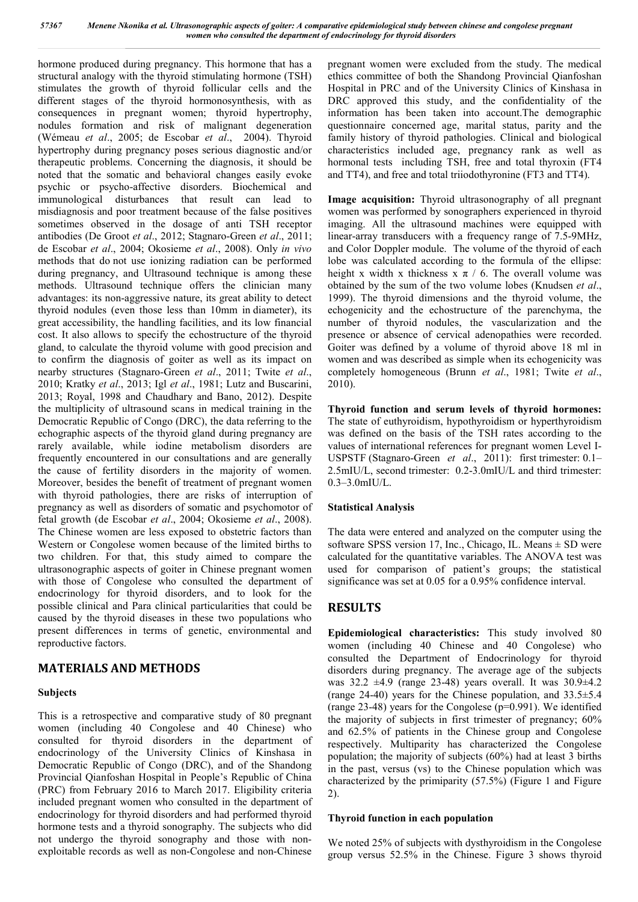hormone produced during pregnancy. This hormone that has a structural analogy with the thyroid stimulating hormone (TSH) stimulates the growth of thyroid follicular cells and the different stages of the thyroid hormonosynthesis, with as consequences in pregnant women; thyroid hypertrophy, nodules formation and risk of malignant degeneration (Wémeau *et al*., 2005; de Escobar *et al*., 2004). Thyroid hypertrophy during pregnancy poses serious diagnostic and/or therapeutic problems. Concerning the diagnosis, it should be noted that the somatic and behavioral changes easily evoke psychic or psycho-affective disorders. Biochemical and immunological disturbances that result can lead to misdiagnosis and poor treatment because of the false positives sometimes observed in the dosage of anti TSH receptor antibodies (De Groot *et al*., 2012; Stagnaro-Green *et al*., 2011; de Escobar *et al*., 2004; Okosieme *et al*., 2008). Only *in vivo* methods that do not use ionizing radiation can be performed during pregnancy, and Ultrasound technique is among these methods. Ultrasound technique offers the clinician many advantages: its non-aggressive nature, its great ability to detect thyroid nodules (even those less than 10mm in diameter), its great accessibility, the handling facilities, and its low financial cost. It also allows to specify the echostructure of the thyroid gland, to calculate the thyroid volume with good precision and to confirm the diagnosis of goiter as well as its impact on nearby structures (Stagnaro-Green *et al*., 2011; Twite *et al*., 2010; Kratky *et al*., 2013; Igl *et al*., 1981; Lutz and Buscarini, 2013; Royal, 1998 and Chaudhary and Bano, 2012). Despite the multiplicity of ultrasound scans in medical training in the Democratic Republic of Congo (DRC), the data referring to the echographic aspects of the thyroid gland during pregnancy are rarely available, while iodine metabolism disorders are frequently encountered in our consultations and are generally the cause of fertility disorders in the majority of women. Moreover, besides the benefit of treatment of pregnant women with thyroid pathologies, there are risks of interruption of pregnancy as well as disorders of somatic and psychomotor of fetal growth (de Escobar *et al*., 2004; Okosieme *et al*., 2008). The Chinese women are less exposed to obstetric factors than Western or Congolese women because of the limited births to two children. For that, this study aimed to compare the ultrasonographic aspects of goiter in Chinese pregnant women with those of Congolese who consulted the department of endocrinology for thyroid disorders, and to look for the possible clinical and Para clinical particularities that could be caused by the thyroid diseases in these two populations who present differences in terms of genetic, environmental and reproductive factors.

# **MATERIALS AND METHODS**

## **Subjects**

This is a retrospective and comparative study of 80 pregnant women (including 40 Congolese and 40 Chinese) who consulted for thyroid disorders in the department of endocrinology of the University Clinics of Kinshasa in Democratic Republic of Congo (DRC), and of the Shandong Provincial Qianfoshan Hospital in People's Republic of China (PRC) from February 2016 to March 2017. Eligibility criteria included pregnant women who consulted in the department of endocrinology for thyroid disorders and had performed thyroid hormone tests and a thyroid sonography. The subjects who did not undergo the thyroid sonography and those with nonexploitable records as well as non-Congolese and non-Chinese

pregnant women were excluded from the study. The medical ethics committee of both the Shandong Provincial Qianfoshan Hospital in PRC and of the University Clinics of Kinshasa in DRC approved this study, and the confidentiality of the information has been taken into account.The demographic questionnaire concerned age, marital status, parity and the family history of thyroid pathologies. Clinical and biological characteristics included age, pregnancy rank as well as hormonal tests including TSH, free and total thyroxin (FT4 and TT4), and free and total triiodothyronine (FT3 and TT4).

**Image acquisition:** Thyroid ultrasonography of all pregnant women was performed by sonographers experienced in thyroid imaging. All the ultrasound machines were equipped with linear-array transducers with a frequency range of 7.5-9MHz, and Color Doppler module. The volume of the thyroid of each lobe was calculated according to the formula of the ellipse: height x width x thickness x  $\pi$  / 6. The overall volume was obtained by the sum of the two volume lobes (Knudsen *et al*., 1999). The thyroid dimensions and the thyroid volume, the echogenicity and the echostructure of the parenchyma, the number of thyroid nodules, the vascularization and the presence or absence of cervical adenopathies were recorded. Goiter was defined by a volume of thyroid above 18 ml in women and was described as simple when its echogenicity was completely homogeneous (Brunn *et al*., 1981; Twite *et al*., 2010).

**Thyroid function and serum levels of thyroid hormones:**  The state of euthyroidism, hypothyroidism or hyperthyroidism was defined on the basis of the TSH rates according to the values of international references for pregnant women Level I-USPSTF (Stagnaro-Green *et al*., 2011): first trimester: 0.1– 2.5mIU/L, second trimester: 0.2-3.0mIU/L and third trimester: 0.3–3.0mIU/L.

## **Statistical Analysis**

The data were entered and analyzed on the computer using the software SPSS version 17, Inc., Chicago, IL. Means ± SD were calculated for the quantitative variables. The ANOVA test was used for comparison of patient's groups; the statistical significance was set at 0.05 for a 0.95% confidence interval.

# **RESULTS**

**Epidemiological characteristics:** This study involved 80 women (including 40 Chinese and 40 Congolese) who consulted the Department of Endocrinology for thyroid disorders during pregnancy. The average age of the subjects was 32.2 ±4.9 (range 23-48) years overall. It was 30.9±4.2 (range 24-40) years for the Chinese population, and 33.5±5.4 (range 23-48) years for the Congolese (p=0.991). We identified the majority of subjects in first trimester of pregnancy; 60% and 62.5% of patients in the Chinese group and Congolese respectively. Multiparity has characterized the Congolese population; the majority of subjects (60%) had at least 3 births in the past, versus (vs) to the Chinese population which was characterized by the primiparity (57.5%) (Figure 1 and Figure 2).

## **Thyroid function in each population**

We noted 25% of subjects with dysthyroidism in the Congolese group versus 52.5% in the Chinese. Figure 3 shows thyroid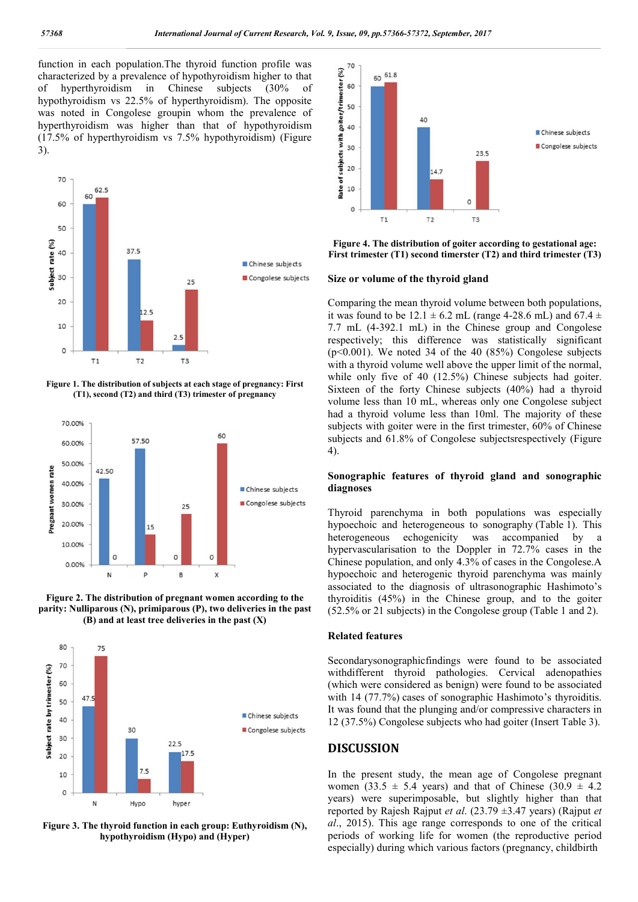function in each population.The thyroid function profile was characterized by a prevalence of hypothyroidism higher to that of hyperthyroidism in Chinese subjects (30% of hypothyroidism vs 22.5% of hyperthyroidism). The opposite was noted in Congolese groupin whom the prevalence of hyperthyroidism was higher than that of hypothyroidism hyperthyroidism was higher than that of hypothyroidism (17.5% of hyperthyroidism vs 7.5% hypothyroidism) (Figure 3).



**Figure 1. The distribution of subjects at each stage of pregnancy: First (T1), second (T2) and third (T3) trimester of pregnancy**







**Figure 3. The thyroid function in each group: Euthyroidism (N), hypothyroidism (Hypo) and (Hyper)**



Figure 4. The distribution of goiter according to gestational age:<br>First trimester (T1) second timerster (T2) and third trimester (T3)

#### **Size or volume of the thyroid gland**

**Figure 4. The distribution of going to gestation of going the mass of the stational age: Figure 4. The distribution of going the mass in the stational age: Figure 1. The distribution of the distribution of the distrib** Comparing the mean thyroid volume between both populations, Comparing the mean thyroid volume between both populations, it was found to be  $12.1 \pm 6.2$  mL (range 4-28.6 mL) and 67.4  $\pm$ 7.7 mL (4-392.1 mL) in the Chinese group and Congolese respectively; this difference was statistically significant ( $p<0.001$ ). We noted 34 of the 40 (85%) Congolese subjects with a thyroid volume well above the upper limit of the normal, while only five of 40 (12.5%) Chinese subjects had goiter. Sixteen of the forty Chinese subjects (40%) had a thyroid volume less than 10 mL, whereas only one Congolese subject had a thyroid volume less than 10ml. The majority of these subjects with goiter were in the first trimester, 60% of Chinese subjects and 61.8% of Congolese subjectsrespectively (Figure 4). 7.7 mL (4-392.1 mL) in the Chinese group and Congolese respectively; this difference was statistically significant (p<0.001). We noted 34 of the 40 (85%) Congolese subjects with a thyroid volume well above the upper limit

#### Sonographic features of thyroid gland and sonographic **diagnoses**

Thyroid parenchyma in both populations was especially hypoechoic and heterogeneous to sonography (Table 1). This heterogeneous echogenicity was accompanied by a hypervascularisation to the Doppler in 72.7% cases in the Chinese population, and only 4.3% of cases in the Congolese.A hypoechoic and heterogenic thyroid parenchyma was mainly associated to the diagnosis of ultrasonographic Hashimoto's thyroiditis (45%) in the Chinese group, and to the goiter heterogeneous echogenicity was accompanied by<br>hypervascularisation to the Doppler in 72.7% cases in the<br>Chinese population, and only 4.3% of cases in the Congolese.<br>hypoechoic and heterogenic thyroid parenchyma was mainl<sub>1</sub>

#### **Related features**

Secondarysonographicfindings were found to be associated Secondarysonographicfindings were found to be associated withdifferent thyroid pathologies. Cervical adenopathies (which were considered as benign) were found to be associated with 14 (77.7%) cases of sonographic Hashimoto's thyroiditis. It was found that the plunging and/or compressive characters in 12 (37.5%) Congolese subjects who had goiter (Insert were considered as benign) were found to be associated (77.7%) cases of sonographic Hashimoto's thyroiditis.<br>Sound that the plunging and/or compressive characters in 5%) Congolese subjects who had goiter (Insert Table 3).

#### **DISCUSSION**

In the present study, the mean age of Congolese pregnant women (33.5  $\pm$  5.4 years) and that of Chinese (30.9  $\pm$  4.2 In the present study, the mean age of Congolese pregnant women  $(33.5 \pm 5.4 \text{ years})$  and that of Chinese  $(30.9 \pm 4.2 \text{ years})$  were superimposable, but slightly higher than that reported by Rajesh Rajput *et al.* (23.79  $\pm$ 3.47 years) (Rajput *et al*., 2015). This age range corresponds to one of the critical periods of working life for women (the reproductive period especially) during which various factors (pregnancy, childbirth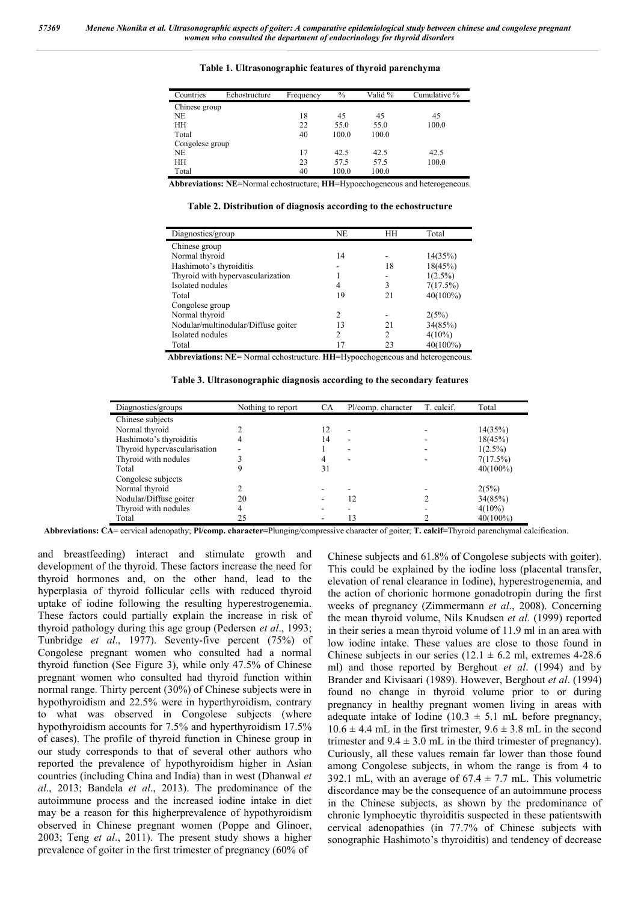| Countries       | Echostructure | Frequency | $\%$  | Valid % | Cumulative % |
|-----------------|---------------|-----------|-------|---------|--------------|
| Chinese group   |               |           |       |         |              |
| NE.             |               | 18        | 45    | 45      | 45           |
| HH              |               | 22        | 55.0  | 55.0    | 100.0        |
| Total           |               | 40        | 100.0 | 100.0   |              |
| Congolese group |               |           |       |         |              |
| NE.             |               | 17        | 42.5  | 42.5    | 42.5         |
| HН              |               | 23        | 57.5  | 57.5    | 100.0        |
| Total           |               | 40        | 100.0 | 100.0   |              |

**Table 1. Ultrasonographic features of thyroid parenchyma**

**Abbreviations: NE**=Normal echostructure; **HH**=Hypoechogeneous and heterogeneous.

**Table 2. Distribution of diagnosis according to the echostructure**

| Diagnostics/group                   | NE             | HН             | Total       |
|-------------------------------------|----------------|----------------|-------------|
| Chinese group                       |                |                |             |
| Normal thyroid                      | 14             |                | 14(35%)     |
| Hashimoto's thyroiditis             |                | 18             | 18(45%)     |
| Thyroid with hypervascularization   |                |                | $1(2.5\%)$  |
| Isolated nodules                    | 4              |                | 7(17.5%)    |
| Total                               | 19             | 21             | $40(100\%)$ |
| Congolese group                     |                |                |             |
| Normal thyroid                      | $\mathfrak{D}$ |                | 2(5%)       |
| Nodular/multinodular/Diffuse goiter | 13             | 21             | 34(85%)     |
| Isolated nodules                    | 2              | $\overline{c}$ | $4(10\%)$   |
| Total                               |                | 23             | $40(100\%)$ |

**Abbreviations: NE**= Normal echostructure. **HH**=Hypoechogeneous and heterogeneous.

**Table 3. Ultrasonographic diagnosis according to the secondary features**

| Diagnostics/groups           | Nothing to report | СA | Pl/comp. character | T. calcif. | Total       |
|------------------------------|-------------------|----|--------------------|------------|-------------|
| Chinese subjects             |                   |    |                    |            |             |
| Normal thyroid               |                   | 12 | ۰                  |            | 14(35%)     |
| Hashimoto's thyroiditis      |                   | 14 | ۰                  |            | 18(45%)     |
| Thyroid hypervascularisation |                   |    | ۰                  |            | $1(2.5\%)$  |
| Thyroid with nodules         |                   |    | ۰                  |            | 7(17.5%)    |
| Total                        |                   | 31 |                    |            | $40(100\%)$ |
| Congolese subjects           |                   |    |                    |            |             |
| Normal thyroid               |                   |    |                    |            | 2(5%)       |
| Nodular/Diffuse goiter       | 20                |    | 12                 |            | 34(85%)     |
| Thyroid with nodules         |                   |    |                    |            | $4(10\%)$   |
| Total                        | 25                |    | ۰3                 |            | $40(100\%)$ |

**Abbreviations: CA**= cervical adenopathy; **Pl/comp. character=**Plunging/compressive character of goiter; **T. calcif=**Thyroid parenchymal calcification.

and breastfeeding) interact and stimulate growth and development of the thyroid. These factors increase the need for thyroid hormones and, on the other hand, lead to the hyperplasia of thyroid follicular cells with reduced thyroid uptake of iodine following the resulting hyperestrogenemia. These factors could partially explain the increase in risk of thyroid pathology during this age group (Pedersen *et al*., 1993; Tunbridge *et al*., 1977). Seventy-five percent (75%) of Congolese pregnant women who consulted had a normal thyroid function (See Figure 3), while only 47.5% of Chinese pregnant women who consulted had thyroid function within normal range. Thirty percent (30%) of Chinese subjects were in hypothyroidism and 22.5% were in hyperthyroidism, contrary to what was observed in Congolese subjects (where hypothyroidism accounts for 7.5% and hyperthyroidism 17.5% of cases). The profile of thyroid function in Chinese group in our study corresponds to that of several other authors who reported the prevalence of hypothyroidism higher in Asian countries (including China and India) than in west (Dhanwal *et al*., 2013; Bandela *et al*., 2013). The predominance of the autoimmune process and the increased iodine intake in diet may be a reason for this higherprevalence of hypothyroidism observed in Chinese pregnant women (Poppe and Glinoer, 2003; Teng *et al*., 2011). The present study shows a higher prevalence of goiter in the first trimester of pregnancy (60% of

Chinese subjects and 61.8% of Congolese subjects with goiter). This could be explained by the iodine loss (placental transfer, elevation of renal clearance in Iodine), hyperestrogenemia, and the action of chorionic hormone gonadotropin during the first weeks of pregnancy (Zimmermann *et al*., 2008). Concerning the mean thyroid volume, Nils Knudsen *et al*. (1999) reported in their series a mean thyroid volume of 11.9 ml in an area with low iodine intake. These values are close to those found in Chinese subjects in our series  $(12.1 \pm 6.2 \text{ ml})$ , extremes 4-28.6 ml) and those reported by Berghout *et al*. (1994) and by Brander and Kivisaari (1989). However, Berghout *et al*. (1994) found no change in thyroid volume prior to or during pregnancy in healthy pregnant women living in areas with adequate intake of Iodine (10.3  $\pm$  5.1 mL before pregnancy,  $10.6 \pm 4.4$  mL in the first trimester,  $9.6 \pm 3.8$  mL in the second trimester and  $9.4 \pm 3.0$  mL in the third trimester of pregnancy). Curiously, all these values remain far lower than those found among Congolese subjects, in whom the range is from 4 to 392.1 mL, with an average of  $67.4 \pm 7.7$  mL. This volumetric discordance may be the consequence of an autoimmune process in the Chinese subjects, as shown by the predominance of chronic lymphocytic thyroiditis suspected in these patientswith cervical adenopathies (in 77.7% of Chinese subjects with sonographic Hashimoto's thyroiditis) and tendency of decrease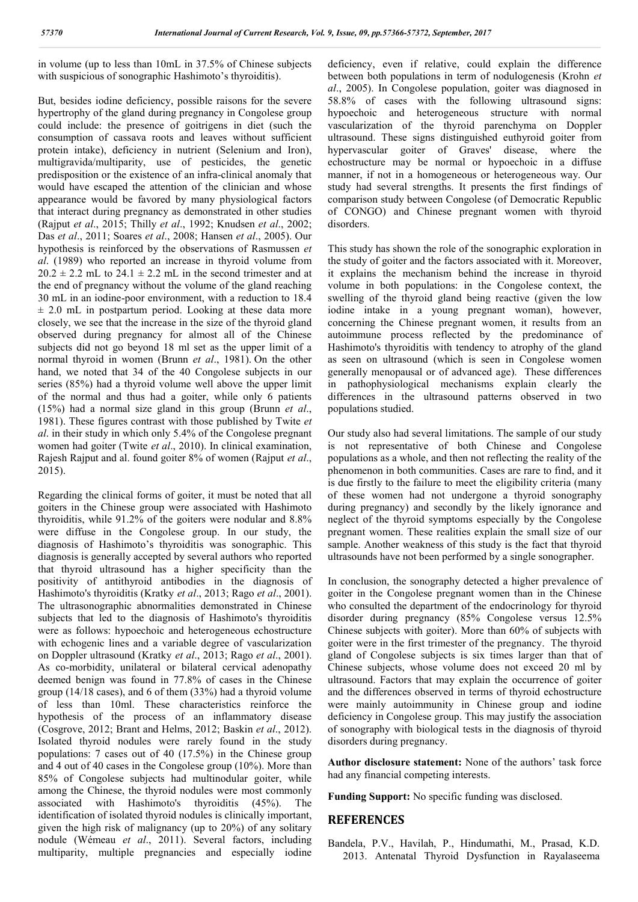in volume (up to less than 10mL in 37.5% of Chinese subjects with suspicious of sonographic Hashimoto's thyroiditis).

But, besides iodine deficiency, possible raisons for the severe hypertrophy of the gland during pregnancy in Congolese group could include: the presence of goitrigens in diet (such the consumption of cassava roots and leaves without sufficient protein intake), deficiency in nutrient (Selenium and Iron), multigravida/multiparity, use of pesticides, the genetic predisposition or the existence of an infra-clinical anomaly that would have escaped the attention of the clinician and whose appearance would be favored by many physiological factors that interact during pregnancy as demonstrated in other studies (Rajput *et al*., 2015; Thilly *et al*., 1992; Knudsen *et al*., 2002; Das *et al*., 2011; Soares *et al*., 2008; Hansen *et al*., 2005). Our hypothesis is reinforced by the observations of Rasmussen *et al*. (1989) who reported an increase in thyroid volume from  $20.2 \pm 2.2$  mL to  $24.1 \pm 2.2$  mL in the second trimester and at the end of pregnancy without the volume of the gland reaching 30 mL in an iodine-poor environment, with a reduction to 18.4  $\pm$  2.0 mL in postpartum period. Looking at these data more closely, we see that the increase in the size of the thyroid gland observed during pregnancy for almost all of the Chinese subjects did not go beyond 18 ml set as the upper limit of a normal thyroid in women (Brunn *et al*., 1981). On the other hand, we noted that 34 of the 40 Congolese subjects in our series (85%) had a thyroid volume well above the upper limit of the normal and thus had a goiter, while only 6 patients (15%) had a normal size gland in this group (Brunn *et al*., 1981). These figures contrast with those published by Twite *et al*. in their study in which only 5.4% of the Congolese pregnant women had goiter (Twite *et al*., 2010). In clinical examination, Rajesh Rajput and al. found goiter 8% of women (Rajput *et al*., 2015).

Regarding the clinical forms of goiter, it must be noted that all goiters in the Chinese group were associated with Hashimoto thyroiditis, while 91.2% of the goiters were nodular and 8.8% were diffuse in the Congolese group. In our study, the diagnosis of Hashimoto's thyroiditis was sonographic. This diagnosis is generally accepted by several authors who reported that thyroid ultrasound has a higher specificity than the positivity of antithyroid antibodies in the diagnosis of Hashimoto's thyroiditis (Kratky *et al*., 2013; Rago *et al*., 2001). The ultrasonographic abnormalities demonstrated in Chinese subjects that led to the diagnosis of Hashimoto's thyroiditis were as follows: hypoechoic and heterogeneous echostructure with echogenic lines and a variable degree of vascularization on Doppler ultrasound (Kratky *et al*., 2013; Rago *et al*., 2001). As co-morbidity, unilateral or bilateral cervical adenopathy deemed benign was found in 77.8% of cases in the Chinese group (14/18 cases), and 6 of them (33%) had a thyroid volume of less than 10ml. These characteristics reinforce the hypothesis of the process of an inflammatory disease (Cosgrove, 2012; Brant and Helms, 2012; Baskin *et al*., 2012). Isolated thyroid nodules were rarely found in the study populations: 7 cases out of 40 (17.5%) in the Chinese group and 4 out of 40 cases in the Congolese group (10%). More than 85% of Congolese subjects had multinodular goiter, while among the Chinese, the thyroid nodules were most commonly associated with Hashimoto's thyroiditis (45%). The identification of isolated thyroid nodules is clinically important, given the high risk of malignancy (up to 20%) of any solitary nodule (Wémeau *et al*., 2011). Several factors, including multiparity, multiple pregnancies and especially iodine

deficiency, even if relative, could explain the difference between both populations in term of nodulogenesis (Krohn *et al*., 2005). In Congolese population, goiter was diagnosed in 58.8% of cases with the following ultrasound signs: hypoechoic and heterogeneous structure with normal vascularization of the thyroid parenchyma on Doppler ultrasound. These signs distinguished euthyroid goiter from hypervascular goiter of Graves' disease, where the echostructure may be normal or hypoechoic in a diffuse manner, if not in a homogeneous or heterogeneous way. Our study had several strengths. It presents the first findings of comparison study between Congolese (of Democratic Republic of CONGO) and Chinese pregnant women with thyroid disorders.

This study has shown the role of the sonographic exploration in the study of goiter and the factors associated with it. Moreover, it explains the mechanism behind the increase in thyroid volume in both populations: in the Congolese context, the swelling of the thyroid gland being reactive (given the low iodine intake in a young pregnant woman), however, concerning the Chinese pregnant women, it results from an autoimmune process reflected by the predominance of Hashimoto's thyroiditis with tendency to atrophy of the gland as seen on ultrasound (which is seen in Congolese women generally menopausal or of advanced age). These differences in pathophysiological mechanisms explain clearly the differences in the ultrasound patterns observed in two populations studied.

Our study also had several limitations. The sample of our study is not representative of both Chinese and Congolese populations as a whole, and then not reflecting the reality of the phenomenon in both communities. Cases are rare to find, and it is due firstly to the failure to meet the eligibility criteria (many of these women had not undergone a thyroid sonography during pregnancy) and secondly by the likely ignorance and neglect of the thyroid symptoms especially by the Congolese pregnant women. These realities explain the small size of our sample. Another weakness of this study is the fact that thyroid ultrasounds have not been performed by a single sonographer.

In conclusion, the sonography detected a higher prevalence of goiter in the Congolese pregnant women than in the Chinese who consulted the department of the endocrinology for thyroid disorder during pregnancy (85% Congolese versus 12.5% Chinese subjects with goiter). More than 60% of subjects with goiter were in the first trimester of the pregnancy. The thyroid gland of Congolese subjects is six times larger than that of Chinese subjects, whose volume does not exceed 20 ml by ultrasound. Factors that may explain the occurrence of goiter and the differences observed in terms of thyroid echostructure were mainly autoimmunity in Chinese group and iodine deficiency in Congolese group. This may justify the association of sonography with biological tests in the diagnosis of thyroid disorders during pregnancy.

**Author disclosure statement:** None of the authors' task force had any financial competing interests.

**Funding Support:** No specific funding was disclosed.

## **REFERENCES**

Bandela, P.V., Havilah, P., Hindumathi, M., Prasad, K.D. 2013. Antenatal Thyroid Dysfunction in Rayalaseema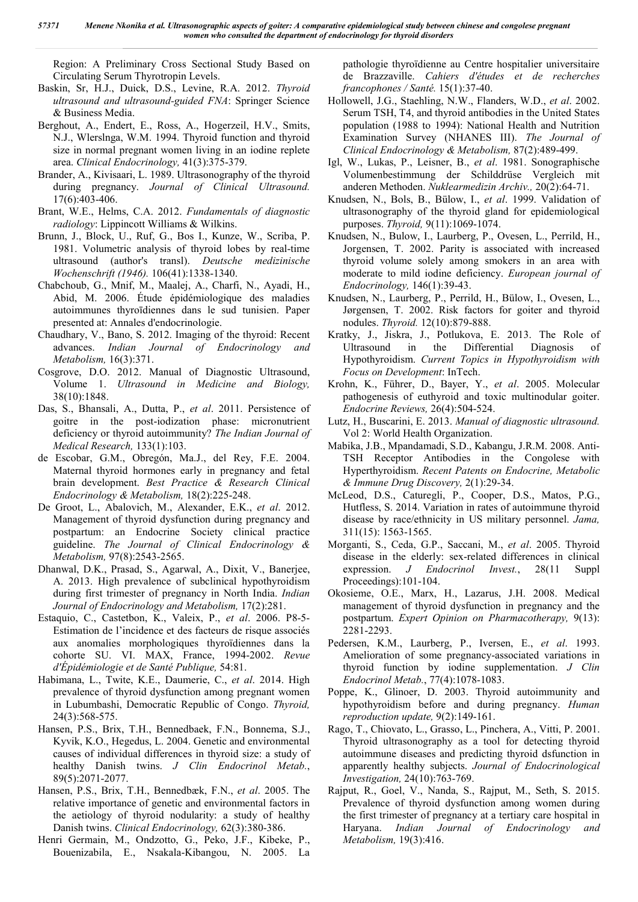Region: A Preliminary Cross Sectional Study Based on Circulating Serum Thyrotropin Levels.

- Baskin, Sr, H.J., Duick, D.S., Levine, R.A. 2012. *Thyroid ultrasound and ultrasound-guided FNA*: Springer Science & Business Media.
- Berghout, A., Endert, E., Ross, A., Hogerzeil, H.V., Smits, N.J., Wlerslnga, W.M. 1994. Thyroid function and thyroid size in normal pregnant women living in an iodine replete area. *Clinical Endocrinology,* 41(3):375-379.
- Brander, A., Kivisaari, L. 1989. Ultrasonography of the thyroid during pregnancy. *Journal of Clinical Ultrasound.*  17(6):403-406.
- Brant, W.E., Helms, C.A. 2012. *Fundamentals of diagnostic radiology*: Lippincott Williams & Wilkins.
- Brunn, J., Block, U., Ruf, G., Bos I., Kunze, W., Scriba, P. 1981. Volumetric analysis of thyroid lobes by real-time ultrasound (author's transl). *Deutsche medizinische Wochenschrift (1946).* 106(41):1338-1340.
- Chabchoub, G., Mnif, M., Maalej, A., Charfi, N., Ayadi, H., Abid, M. 2006. Étude épidémiologique des maladies autoimmunes thyroīdiennes dans le sud tunisien. Paper presented at: Annales d'endocrinologie.
- Chaudhary, V., Bano, S. 2012. Imaging of the thyroid: Recent advances. *Indian Journal of Endocrinology and Metabolism,* 16(3):371.
- Cosgrove, D.O. 2012. Manual of Diagnostic Ultrasound, Volume 1. *Ultrasound in Medicine and Biology,*  38(10):1848.
- Das, S., Bhansali, A., Dutta, P., *et al*. 2011. Persistence of goitre in the post-iodization phase: micronutrient deficiency or thyroid autoimmunity? *The Indian Journal of Medical Research,* 133(1):103.
- de Escobar, G.M., Obregón, Ma.J., del Rey, F.E. 2004. Maternal thyroid hormones early in pregnancy and fetal brain development. *Best Practice & Research Clinical Endocrinology & Metabolism,* 18(2):225-248.
- De Groot, L., Abalovich, M., Alexander, E.K., *et al*. 2012. Management of thyroid dysfunction during pregnancy and postpartum: an Endocrine Society clinical practice guideline. *The Journal of Clinical Endocrinology & Metabolism,* 97(8):2543-2565.
- Dhanwal, D.K., Prasad, S., Agarwal, A., Dixit, V., Banerjee, A. 2013. High prevalence of subclinical hypothyroidism during first trimester of pregnancy in North India. *Indian Journal of Endocrinology and Metabolism,* 17(2):281.
- Estaquio, C., Castetbon, K., Valeix, P., *et al*. 2006. P8-5- Estimation de l'incidence et des facteurs de risque associés aux anomalies morphologiques thyroïdiennes dans la cohorte SU. VI. MAX, France, 1994-2002. *Revue d'Épidémiologie et de Santé Publique,* 54:81.
- Habimana, L., Twite, K.E., Daumerie, C., *et al*. 2014. High prevalence of thyroid dysfunction among pregnant women in Lubumbashi, Democratic Republic of Congo. *Thyroid,*  24(3):568-575.
- Hansen, P.S., Brix, T.H., Bennedbaek, F.N., Bonnema, S.J., Kyvik, K.O., Hegedus, L. 2004. Genetic and environmental causes of individual differences in thyroid size: a study of healthy Danish twins. *J Clin Endocrinol Metab.*, 89(5):2071-2077.
- Hansen, P.S., Brix, T.H., Bennedbæk, F.N., *et al*. 2005. The relative importance of genetic and environmental factors in the aetiology of thyroid nodularity: a study of healthy Danish twins. *Clinical Endocrinology,* 62(3):380-386.
- Henri Germain, M., Ondzotto, G., Peko, J.F., Kibeke, P., Bouenizabila, E., Nsakala-Kibangou, N. 2005. La

pathologie thyroïdienne au Centre hospitalier universitaire de Brazzaville. *Cahiers d'études et de recherches francophones / Santé.* 15(1):37-40.

- Hollowell, J.G., Staehling, N.W., Flanders, W.D., *et al*. 2002. Serum TSH, T4, and thyroid antibodies in the United States population (1988 to 1994): National Health and Nutrition Examination Survey (NHANES III). *The Journal of Clinical Endocrinology & Metabolism,* 87(2):489-499.
- Igl, W., Lukas, P., Leisner, B., *et al*. 1981. Sonographische Volumenbestimmung der Schilddrüse Vergleich mit anderen Methoden. *Nuklearmedizin Archiv.,* 20(2):64-71.
- Knudsen, N., Bols, B., Bülow, I., *et al*. 1999. Validation of ultrasonography of the thyroid gland for epidemiological purposes. *Thyroid,* 9(11):1069-1074.
- Knudsen, N., Bulow, I., Laurberg, P., Ovesen, L., Perrild, H., Jorgensen, T. 2002. Parity is associated with increased thyroid volume solely among smokers in an area with moderate to mild iodine deficiency. *European journal of Endocrinology,* 146(1):39-43.
- Knudsen, N., Laurberg, P., Perrild, H., Bülow, I., Ovesen, L., Jørgensen, T. 2002. Risk factors for goiter and thyroid nodules. *Thyroid.* 12(10):879-888.
- Kratky, J., Jiskra, J., Potlukova, E. 2013. The Role of Ultrasound in the Differential Diagnosis of Hypothyroidism. *Current Topics in Hypothyroidism with Focus on Development*: InTech.
- Krohn, K., Führer, D., Bayer, Y., *et al*. 2005. Molecular pathogenesis of euthyroid and toxic multinodular goiter. *Endocrine Reviews,* 26(4):504-524.
- Lutz, H., Buscarini, E. 2013. *Manual of diagnostic ultrasound.* Vol 2: World Health Organization.
- Mabika, J.B., Mpandamadi, S.D., Kabangu, J.R.M. 2008. Anti-TSH Receptor Antibodies in the Congolese with Hyperthyroidism. *Recent Patents on Endocrine, Metabolic & Immune Drug Discovery,* 2(1):29-34.
- McLeod, D.S., Caturegli, P., Cooper, D.S., Matos, P.G., Hutfless, S. 2014. Variation in rates of autoimmune thyroid disease by race/ethnicity in US military personnel. *Jama,*  311(15): 1563-1565.
- Morganti, S., Ceda, G.P., Saccani, M., *et al*. 2005. Thyroid disease in the elderly: sex-related differences in clinical expression. *J Endocrinol Invest.*, 28(11 Suppl Proceedings):101-104.
- Okosieme, O.E., Marx, H., Lazarus, J.H. 2008. Medical management of thyroid dysfunction in pregnancy and the postpartum. *Expert Opinion on Pharmacotherapy,* 9(13): 2281-2293.
- Pedersen, K.M., Laurberg, P., Iversen, E., *et al*. 1993. Amelioration of some pregnancy-associated variations in thyroid function by iodine supplementation. *J Clin Endocrinol Metab.*, 77(4):1078-1083.
- Poppe, K., Glinoer, D. 2003. Thyroid autoimmunity and hypothyroidism before and during pregnancy. *Human reproduction update,* 9(2):149-161.
- Rago, T., Chiovato, L., Grasso, L., Pinchera, A., Vitti, P. 2001. Thyroid ultrasonography as a tool for detecting thyroid autoimmune diseases and predicting thyroid dsfunction in apparently healthy subjects. *Journal of Endocrinological Investigation,* 24(10):763-769.
- Rajput, R., Goel, V., Nanda, S., Rajput, M., Seth, S. 2015. Prevalence of thyroid dysfunction among women during the first trimester of pregnancy at a tertiary care hospital in Haryana. *Indian Journal of Endocrinology and Metabolism,* 19(3):416.